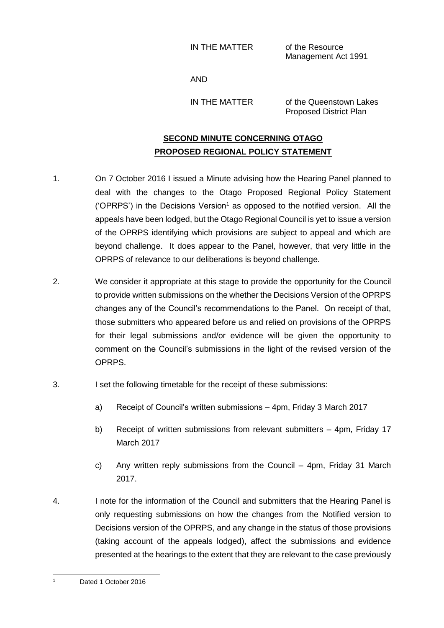IN THE MATTER of the Resource

Management Act 1991

AND

IN THE MATTER of the Queenstown Lakes Proposed District Plan

## **SECOND MINUTE CONCERNING OTAGO PROPOSED REGIONAL POLICY STATEMENT**

- 1. On 7 October 2016 I issued a Minute advising how the Hearing Panel planned to deal with the changes to the Otago Proposed Regional Policy Statement ('OPRPS') in the Decisions Version<sup>1</sup> as opposed to the notified version. All the appeals have been lodged, but the Otago Regional Council is yet to issue a version of the OPRPS identifying which provisions are subject to appeal and which are beyond challenge. It does appear to the Panel, however, that very little in the OPRPS of relevance to our deliberations is beyond challenge.
- 2. We consider it appropriate at this stage to provide the opportunity for the Council to provide written submissions on the whether the Decisions Version of the OPRPS changes any of the Council's recommendations to the Panel. On receipt of that, those submitters who appeared before us and relied on provisions of the OPRPS for their legal submissions and/or evidence will be given the opportunity to comment on the Council's submissions in the light of the revised version of the OPRPS.
- 3. I set the following timetable for the receipt of these submissions:
	- a) Receipt of Council's written submissions 4pm, Friday 3 March 2017
	- b) Receipt of written submissions from relevant submitters 4pm, Friday 17 March 2017
	- c) Any written reply submissions from the Council 4pm, Friday 31 March 2017.
- 4. I note for the information of the Council and submitters that the Hearing Panel is only requesting submissions on how the changes from the Notified version to Decisions version of the OPRPS, and any change in the status of those provisions (taking account of the appeals lodged), affect the submissions and evidence presented at the hearings to the extent that they are relevant to the case previously